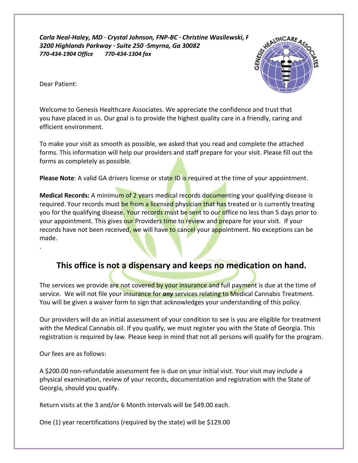*Carla Neal-Haley, MD · Crystal Johnson, FNP-BC · Christine Wasilewski, FNP-BC 3200 Highlands Parkway · Suite 250 ·Smyrna, Ga 30082 770-434-1904 Office 770-434-1304 fax*



Dear Patient:

.

Welcome to Genesis Healthcare Associates. We appreciate the confidence and trust that you have placed in us. Our goal is to provide the highest quality care in a friendly, caring and efficient environment.

To make your visit as smooth as possible, we asked that you read and complete the attached forms. This information will help our providers and staff prepare for your visit. Please fill out the forms as completely as possible.

**Please Note**: A valid GA drivers license or state ID is required at the time of your appointment.

**Medical Records:** A minimum of 2 years medical records documenting your qualifying disease is required. Your records must be from a licensed physician that has treated or is currently treating you for the qualifying disease. Your records must be sent to our office no less than 5 days prior to your appointment. This gives our Providers time to review and prepare for your visit. If your records have not been received, we will have to cancel your appointment. No exceptions can be made.

#### **This office is not a dispensary and keeps no medication on hand.**

The services we provide are not covered by your insurance and full payment is due at the time of service. We will not file your insurance for *any* services relating to Medical Cannabis Treatment. You will be given a waiver form to sign that acknowledges your understanding of this policy.

Our providers will do an initial assessment of your condition to see is you are eligible for treatment with the Medical Cannabis oil. If you qualify, we must register you with the State of Georgia. This registration is required by law. Please keep in mind that not all persons will qualify for the program.

Our fees are as follows:

A \$200.00 non-refundable assessment fee is due on your initial visit. Your visit may include a physical examination, review of your records, documentation and registration with the State of Georgia, should you qualify.

Return visits at the 3 and/or 6 Month intervals will be \$49.00 each.

One (1) year recertifications (required by the state) will be \$129.00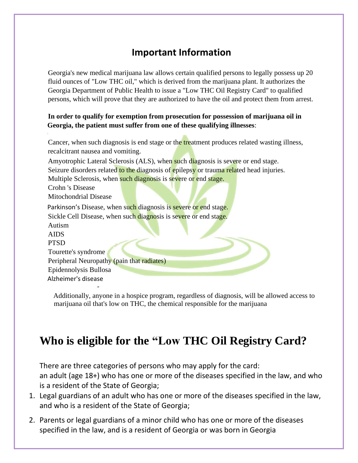#### **Important Information**

Georgia's new medical marijuana law allows certain qualified persons to legally possess up 20 fluid ounces of "Low THC oil," which is derived from the marijuana plant. It authorizes the Georgia Department of Public Health to issue a "Low THC Oil Registry Card" to qualified persons, which will prove that they are authorized to have the oil and protect them from arrest.

#### **In order to qualify for exemption from prosecution for possession of marijuana oil in Georgia, the patient must suffer from one of these qualifying illnesses**:

Cancer, when such diagnosis is end stage or the treatment produces related wasting illness, recalcitrant nausea and vomiting.

Amyotrophic Lateral Sclerosis (ALS), when such diagnosis is severe or end stage. Seizure disorders related to the diagnosis of epilepsy or trauma related head injuries. Multiple Sclerosis, when such diagnosis is severe or end stage. Crohn 's Disease Mitochondrial Disease Parkinson's Disease, when such diagnosis is severe or end stage. Sickle Cell Disease, when such diagnosis is severe or end stage. Autism AIDS PTSD Tourette's syndrome Peripheral Neuropathy (pain that radiates) Epidennolysis Bullosa Alzheimer's disease

Additionally, anyone in a hospice program, regardless of diagnosis, will be allowed access to marijuana oil that's low on THC, the chemical responsible for the marijuana

# **Who is eligible for the "Low THC Oil Registry Card?**

There are three categories of persons who may apply for the card: an adult (age 18+) who has one or more of the diseases specified in the law, and who is a resident of the State of Georgia;

- 1. Legal guardians of an adult who has one or more of the diseases specified in the law, and who is a resident of the State of Georgia;
- 2. Parents or legal guardians of a minor child who has one or more of the diseases specified in the law, and is a resident of Georgia or was born in Georgia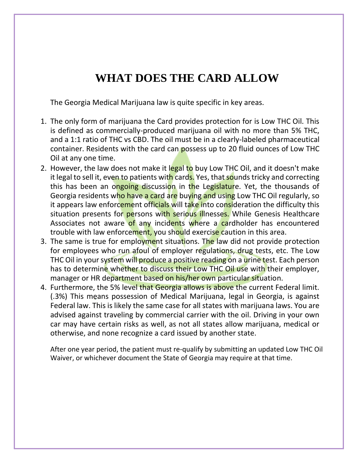### **WHAT DOES THE CARD ALLOW**

The Georgia Medical Marijuana law is quite specific in key areas.

- 1. The only form of marijuana the Card provides protection for is Low THC Oil. This is defined as commercially-produced marijuana oil with no more than 5% THC, and a 1:1 ratio of THC vs CBD. The oil must be in a clearly-labeled pharmaceutical container. Residents with the card can possess up to 20 fluid ounces of Low THC Oil at any one time.
- 2. However, the law does not make it legal to buy Low THC Oil, and it doesn't make it legal to sell it, even to patients with cards. Yes, that sounds tricky and correcting this has been an ongoing discussion in the Legislature. Yet, the thousands of Georgia residents who have a card are buying and using Low THC Oil regularly, so it appears law enforcement officials will take into consideration the difficulty this situation presents for persons with serious illnesses. While Genesis Healthcare Associates not aware of any incidents where a cardholder has encountered trouble with law enforcement, you should exercise caution in this area.
- 3. The same is true for employment situations. The law did not provide protection for employees who run afoul of employer regulations, drug tests, etc. The Low THC Oil in your system will produce a positive reading on a urine test. Each person has to determine whether to discuss their Low THC Oil use with their employer, manager or HR department based on his/her own particular situation.
- 4. Furthermore, the 5% level that Georgia allows is above the current Federal limit. (.3%) This means possession of Medical Marijuana, legal in Georgia, is against Federal law. This is likely the same case for all states with marijuana laws. You are advised against traveling by commercial carrier with the oil. Driving in your own car may have certain risks as well, as not all states allow marijuana, medical or otherwise, and none recognize a card issued by another state.

After one year period, the patient must re-qualify by submitting an updated Low THC Oil Waiver, or whichever document the State of Georgia may require at that time.